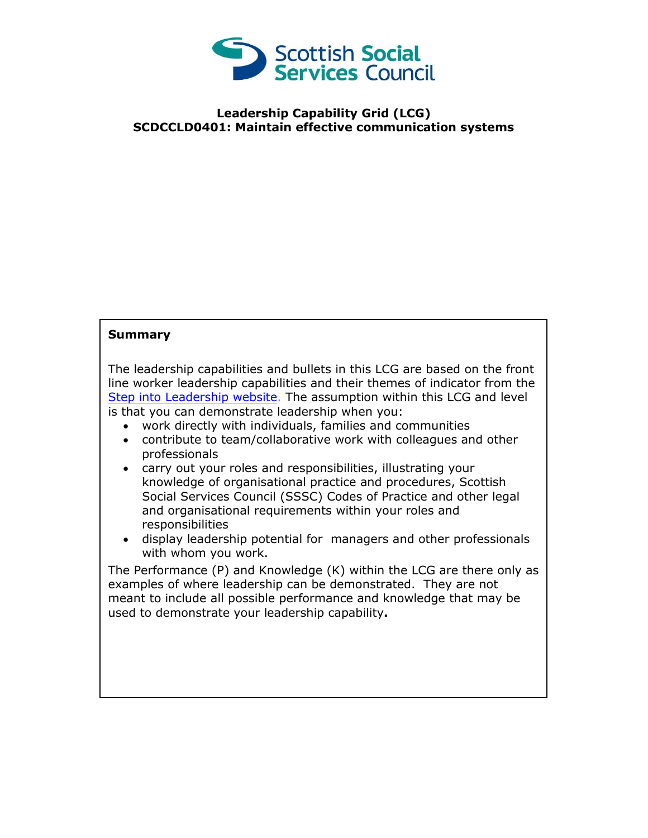

## **Leadership Capability Grid (LCG) SCDCCLD0401: Maintain effective communication systems**

## **Summary**

The leadership capabilities and bullets in this LCG are based on the front line worker leadership capabilities and their themes of indicator from the [Step into Leadership website.](http://www.stepintoleadership.info/) The assumption within this LCG and level is that you can demonstrate leadership when you:

- work directly with individuals, families and communities
- contribute to team/collaborative work with colleagues and other professionals
- carry out your roles and responsibilities, illustrating your knowledge of organisational practice and procedures, Scottish Social Services Council (SSSC) Codes of Practice and other legal and organisational requirements within your roles and responsibilities
- display leadership potential for managers and other professionals with whom you work.

The Performance (P) and Knowledge (K) within the LCG are there only as examples of where leadership can be demonstrated. They are not meant to include all possible performance and knowledge that may be used to demonstrate your leadership capability**.**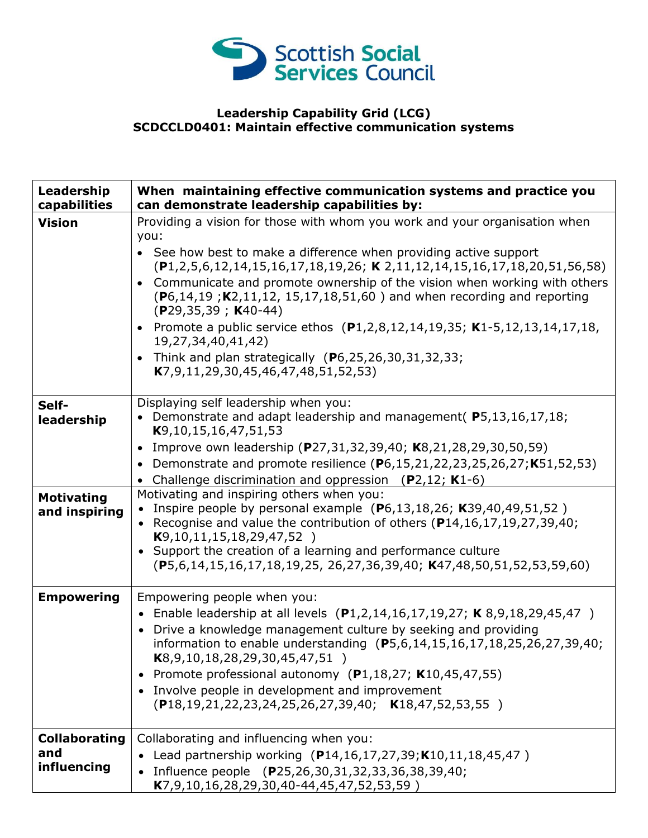

## **Leadership Capability Grid (LCG) SCDCCLD0401: Maintain effective communication systems**

| Leadership<br>capabilities                 | When maintaining effective communication systems and practice you<br>can demonstrate leadership capabilities by:                                                                                                                                                                                                                                                                                                                                                                 |
|--------------------------------------------|----------------------------------------------------------------------------------------------------------------------------------------------------------------------------------------------------------------------------------------------------------------------------------------------------------------------------------------------------------------------------------------------------------------------------------------------------------------------------------|
| <b>Vision</b>                              | Providing a vision for those with whom you work and your organisation when<br>you:                                                                                                                                                                                                                                                                                                                                                                                               |
|                                            | • See how best to make a difference when providing active support<br>$(P1, 2, 5, 6, 12, 14, 15, 16, 17, 18, 19, 26;$ K 2, 11, 12, 14, 15, 16, 17, 18, 20, 51, 56, 58)                                                                                                                                                                                                                                                                                                            |
|                                            | • Communicate and promote ownership of the vision when working with others<br>$(P6, 14, 19; K2, 11, 12, 15, 17, 18, 51, 60)$ and when recording and reporting<br>$(P29, 35, 39; KA0-44)$                                                                                                                                                                                                                                                                                         |
|                                            | • Promote a public service ethos $(P1, 2, 8, 12, 14, 19, 35; K1 - 5, 12, 13, 14, 17, 18,$<br>19,27,34,40,41,42)                                                                                                                                                                                                                                                                                                                                                                  |
|                                            | Think and plan strategically $(P6, 25, 26, 30, 31, 32, 33)$<br>K7,9,11,29,30,45,46,47,48,51,52,53)                                                                                                                                                                                                                                                                                                                                                                               |
| Self-<br>leadership                        | Displaying self leadership when you:<br>• Demonstrate and adapt leadership and management(P5,13,16,17,18;<br>K9,10,15,16,47,51,53                                                                                                                                                                                                                                                                                                                                                |
|                                            | Improve own leadership (P27,31,32,39,40; K8,21,28,29,30,50,59)<br>• Demonstrate and promote resilience $(P6, 15, 21, 22, 23, 25, 26, 27; K51, 52, 53)$<br>• Challenge discrimination and oppression (P2,12; K1-6)                                                                                                                                                                                                                                                                |
| <b>Motivating</b><br>and inspiring         | Motivating and inspiring others when you:<br>Inspire people by personal example (P6,13,18,26; K39,40,49,51,52)<br>• Recognise and value the contribution of others $(P14, 16, 17, 19, 27, 39, 40;$<br>K9, 10, 11, 15, 18, 29, 47, 52<br>• Support the creation of a learning and performance culture<br>(P5,6,14,15,16,17,18,19,25, 26,27,36,39,40; K47,48,50,51,52,53,59,60)                                                                                                    |
| <b>Empowering</b>                          | Empowering people when you:<br>• Enable leadership at all levels $(P1,2,14,16,17,19,27; K 8,9,18,29,45,47)$<br>• Drive a knowledge management culture by seeking and providing<br>information to enable understanding (P5,6,14,15,16,17,18,25,26,27,39,40;<br>$K8, 9, 10, 18, 28, 29, 30, 45, 47, 51)$<br>• Promote professional autonomy (P1,18,27; K10,45,47,55)<br>• Involve people in development and improvement<br>$($ P18,19,21,22,23,24,25,26,27,39,40; K18,47,52,53,55) |
| <b>Collaborating</b><br>and<br>influencing | Collaborating and influencing when you:<br>Lead partnership working (P14,16,17,27,39;K10,11,18,45,47)<br>Influence people (P25,26,30,31,32,33,36,38,39,40;<br>K7,9,10,16,28,29,30,40-44,45,47,52,53,59)                                                                                                                                                                                                                                                                          |